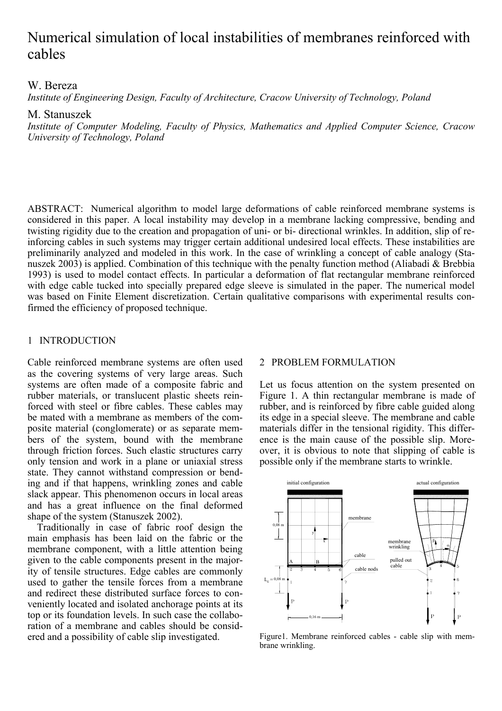# Numerical simulation of local instabilities of membranes reinforced with cables

W. Bereza

*Institute of Engineering Design, Faculty of Architecture, Cracow University of Technology, Poland*

M. Stanuszek

*Institute of Computer Modeling, Faculty of Physics, Mathematics and Applied Computer Science, Cracow University of Technology, Poland* 

ABSTRACT: Numerical algorithm to model large deformations of cable reinforced membrane systems is considered in this paper. A local instability may develop in a membrane lacking compressive, bending and twisting rigidity due to the creation and propagation of uni- or bi- directional wrinkles. In addition, slip of reinforcing cables in such systems may trigger certain additional undesired local effects. These instabilities are preliminarily analyzed and modeled in this work. In the case of wrinkling a concept of cable analogy (Stanuszek 2003) is applied. Combination of this technique with the penalty function method (Aliabadi & Brebbia 1993) is used to model contact effects. In particular a deformation of flat rectangular membrane reinforced with edge cable tucked into specially prepared edge sleeve is simulated in the paper. The numerical model was based on Finite Element discretization. Certain qualitative comparisons with experimental results confirmed the efficiency of proposed technique.

## 1 INTRODUCTION

Cable reinforced membrane systems are often used as the covering systems of very large areas. Such systems are often made of a composite fabric and rubber materials, or translucent plastic sheets reinforced with steel or fibre cables. These cables may be mated with a membrane as members of the composite material (conglomerate) or as separate members of the system, bound with the membrane through friction forces. Such elastic structures carry only tension and work in a plane or uniaxial stress state. They cannot withstand compression or bending and if that happens, wrinkling zones and cable slack appear. This phenomenon occurs in local areas and has a great influence on the final deformed shape of the system (Stanuszek 2002).

ered and a possibility of cable slip investigated. Traditionally in case of fabric roof design the main emphasis has been laid on the fabric or the membrane component, with a little attention being given to the cable components present in the majority of tensile structures. Edge cables are commonly used to gather the tensile forces from a membrane and redirect these distributed surface forces to conveniently located and isolated anchorage points at its top or its foundation levels. In such case the collaboration of a membrane and cables should be consid-

## 2 PROBLEM FORMULATION

Let us focus attention on the system presented on Figure 1. A thin rectangular membrane is made of rubber, and is reinforced by fibre cable guided along its edge in a special sleeve. The membrane and cable materials differ in the tensional rigidity. This difference is the main cause of the possible slip. Moreover, it is obvious to note that slipping of cable is possible only if the membrane starts to wrinkle.



Figure1. Membrane reinforced cables - cable slip with membrane wrinkling.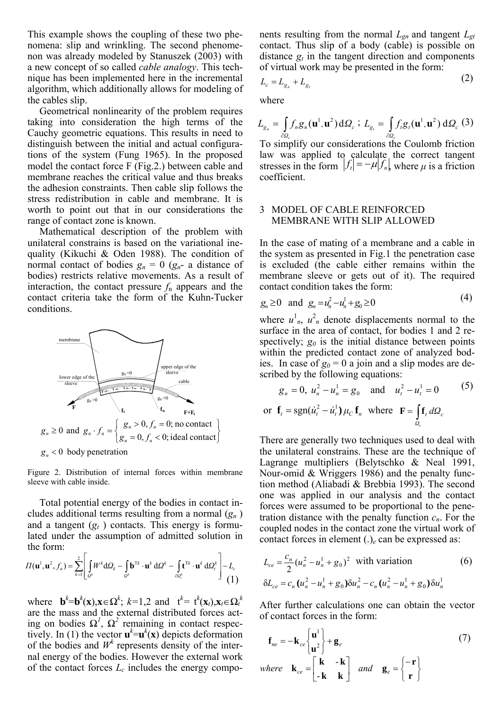This example shows the coupling of these two phenomena: slip and wrinkling. The second phenomenon was already modeled by Stanuszek (2003) with a new concept of so called *cable analogy*. T his technique has been implemented here in the incremental algorithm, which additionally allows for modeling of the cables slip.

Geometrical nonlinearity of the problem requires taking into consideration the high terms of the Cauchy geometric equations. This results in need to tions of the system (Fung 1965). In the proposed model the contact force F (Fig.2.) between cable and membrane reaches the critical value and thus breaks the adhesion constraints. Then cable slip follows the stress redistribution in cable and membrane. It is worth to point out that in our considerations the range of contact zone is known. distinguish between the initial and actual configura-

Mathematical description of the problem with unilateral constrains is based on the variational inequality (Kikuchi & Oden 1988). The condition of normal contact of bodies  $g_n = 0$  ( $g_n$ - a distance of bodies) restricts relative movements. As a result of interaction, the contact pressure  $f_n$  appears and the contact criteria take the form of the Kuhn-Tucker conditions.



Figure 2. Distribution of internal forces within membrane sleeve with ca ble inside.

Total potential energy of the bodies in contact includes additional terms resulting from a normal  $(g_n)$ and a tangent  $(g_t)$  contacts. This energy is formulated under the assumption of admitted solution in the form:

$$
\Pi(\mathbf{u}^1, \mathbf{u}^2, f_n) = \sum_{k=1}^2 \left[ \int_{\Omega^k} W^k \, d\Omega_k - \int_{\Omega^k} \mathbf{b}^{Tk} \cdot \mathbf{u}^k \, d\Omega^k - \int_{\partial \Omega_t^k} \mathbf{t}^{Tk} \cdot \mathbf{u}^k \, d\Omega_t^k \right] - L_c
$$
 (1)

where  $\mathbf{b}^k = \mathbf{b}^k(\mathbf{x}), \mathbf{x} \in \Omega^k$ ;  $k=1,2$  and  $\mathbf{t}^k = \mathbf{t}^k(\mathbf{x}_t), \mathbf{x}_t \in \Omega^k$ are the mass and the external distributed forces acting on bodies  $\Omega^1$ ,  $\Omega^2$  remaining in contact respectively. In (1) the vector  $\mathbf{u}^k = \mathbf{u}^k(\mathbf{x})$  depicts deformation of the bodies and  $W^k$  represents density of the internal energy of the bodies. However the external work of the contact forces  $L_c$  includes the energy components resulting from the normal  $L_{gn}$  and tangent  $L_{gt}$ contact. Thus slip of a body (cable) is possible on distance  $g_t$  in the tangent direction and components of virtual work may be presented in the form:

$$
L_c = L_{g_n} + L_{g_t} \tag{2}
$$

where

$$
L_{g_n} = \int_{\partial \Omega_c} f_n g_n(\mathbf{u}^1, \mathbf{u}^2) d\Omega_c ; L_{g_t} = \int_{\partial \Omega_c} f_t g_t(\mathbf{u}^1, \mathbf{u}^2) d\Omega_c
$$
 (3)  
To simplify our considerations the Coulomb friction

law was applied to calculate the correct tangent stresses in the form  $|f_i| = -\mu |f_n|$ , where  $\mu$  is a friction coefficient.

#### 3 MODEL OF CABLE REINFORCED MEMBRANE WITH SLIP ALLOWED

In the case of mating of a membrane and a cable in the system as presented in Fig.1 the penetration case is excluded (the cable either remains within the membrane sleeve or gets out of it). The required contact condition takes the form:  $\lambda$ 

$$
g_n \ge 0
$$
 and  $g_n = u_n^2 - u_n^1 + g_0 \ge 0$  (4)

where  $u_n^1$ ,  $u_n^2$  denote displacements normal to the surface in the area of contact, for bodies 1 and 2 respectively;  $g_0$  is the initial distance between points within the predicted contact zone of analyzed bodies. In case of  $g_0 = 0$  a join and a slip modes are described by the following equations:

$$
g_n = 0
$$
,  $u_n^2 - u_n^1 = g_0$  and  $u_t^2 - u_t^1 = 0$  (5)

or 
$$
\mathbf{f}_t = \text{sgn}(\dot{u}_t^2 - \dot{u}_t^1) \mu_C \mathbf{f}_n
$$
 where  $\mathbf{F} = \int_{\Omega_c} \mathbf{f}_t d\Omega_c$ 

There are generally two techniques used to deal with the unilateral constrains. These are the technique of Lagrange multipliers (Belytschko & Neal 1991, Nour-omid & Wriggers 1986) and the penalty function method (Aliabadi & Brebbia 1993). The second one was applied in our analysis and the contact forces were assumed to be proportional to the penetration distance with the penalty function  $c_n$ . For the coupled nodes in the contact zone the virtual work of contact forces in element (.)*e* can be expressed as:

$$
L_{ce} = \frac{c_n}{2} (u_n^2 - u_n^1 + g_0)^2
$$
 with variation  
\n
$$
\delta L_{ce} = c_n (u_n^2 - u_n^1 + g_0) \delta u_n^2 - c_n (u_n^2 - u_n^1 + g_0) \delta u_n^1
$$
 (6)

After further calculations one can obtain the vector of contact forces in the form:

$$
\mathbf{f}_{ne} = -\mathbf{k}_{ce} \begin{Bmatrix} \mathbf{u}^1 \\ \mathbf{u}^2 \end{Bmatrix} + \mathbf{g}_e
$$
\nwhere  $\mathbf{k}_{ce} = \begin{bmatrix} \mathbf{k} & -\mathbf{k} \\ -\mathbf{k} & \mathbf{k} \end{bmatrix}$  and  $\mathbf{g}_e = \begin{Bmatrix} -\mathbf{r} \\ \mathbf{r} \end{Bmatrix}$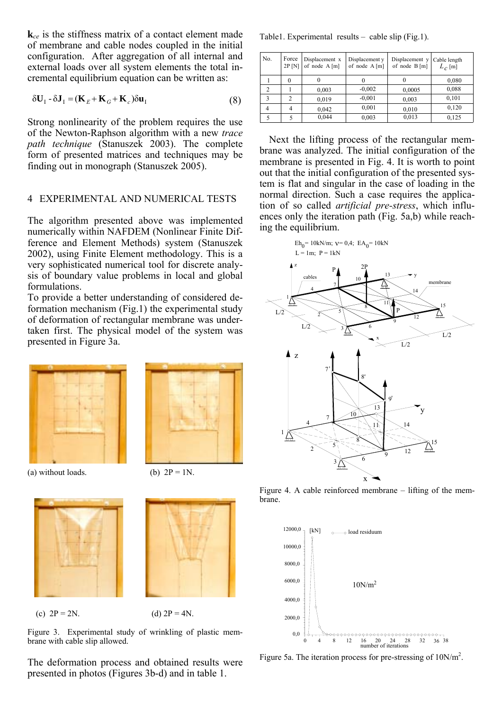**k***ce* is the stiffness matrix of a contact element made of membrane and cable nodes coupled in the initial configuration. After aggregation of all internal and external loads over all system elements the total incremental equilibrium equation can be written as:

$$
\delta \mathbf{U}_{\mathrm{I}} - \delta \mathbf{J}_{\mathrm{I}} = (\mathbf{K}_{E} + \mathbf{K}_{G} + \mathbf{K}_{c}) \delta \mathbf{u}_{\mathrm{I}} \tag{8}
$$

Strong nonlinearity of the problem requires the use of the Newton-Raphson algorithm with a new *trace path technique* (Stanuszek 2003). The complete form of presented matrices and techniques may be finding out in monograph (Stanuszek 2005).

#### 4 EXPERIMENTAL AND NUMERICAL TESTS

The algorithm presented above was implemented numerically within NAFDEM (Nonlinear Finite Dif ference and Element Methods) system (Stanuszek 2002), using Finite Element methodology. This is a very sophisticated numerical tool for discrete analysis of boundary value problems in local and global formulations.

To provide a better understanding of considered deformation mechanism (Fig.1) the experimental study of deformation of rectangular membrane was undertaken first. The physical model of the system was presented in Figure 3a.





(a) without loads. (b)  $2P = 1N$ .



Figure 3. Experimental study of wrinkling of plastic membran e with cable slip allowed.

The deformation process and obtained results were presented in photos (Figures 3b-d) and in table 1.

Table1. Experimental results  $-$  cable slip (Fig.1).

| No.            | Force<br>2P[N] | Displacement x<br>of node $A[m]$ | Displacement y<br>of node $A[m]$ | Displacement y<br>of node $B$ [m] | Cable length<br>$L_{c}$ [m] |
|----------------|----------------|----------------------------------|----------------------------------|-----------------------------------|-----------------------------|
|                | $\theta$       | 0                                |                                  | $\Omega$                          | 0,080                       |
| $\overline{c}$ |                | 0,003                            | $-0.002$                         | 0,0005                            | 0,088                       |
| 3              | $\mathfrak{2}$ | 0,019                            | $-0.001$                         | 0,003                             | 0,101                       |
| 4              | 4              | 0,042                            | 0,001                            | 0,010                             | 0,120                       |
|                |                | 0,044                            | 0,003                            | 0,013                             | 0,125                       |

Next the lifting process of the rectangular membrane was analyzed. The initial configuration of the membrane is presented in Fig. 4. It is worth to point out that the initial configuration of the presented system is flat and singular in the case of loading in the normal direction. Such a case requires the application of so called *artificial pre-stress*, which influences only the iteration path (Fig. 5a,b) while reaching the equilibrium.



Figure 4. A cable reinforced membrane  $-$  lifting of the membrane.